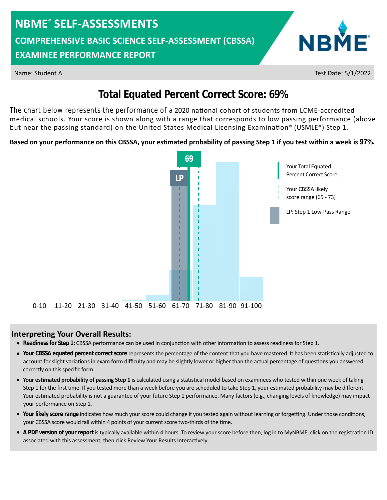**COMPREHENSIVE BASIC SCIENCE SELF-ASSESSMENT (CBSSA)**

### **EXAMINEE PERFORMANCE REPORT**



Name: Student A Test Date: 5/1/2022

## **Total Equated Percent Correct Score: 69%**

The chart below represents the performance of a 2020 national cohort of students from LCME-accredited medical schools. Your score is shown along with a range that corresponds to low passing performance (above but near the passing standard) on the United States Medical Licensing Examination® (USMLE®) Step 1.

#### Based on your performance on this CBSSA, your estimated probability of passing Step 1 if you test within a week is 97%.



#### **Interpreting Your Overall Results:**

- **•** Readiness for Step 1: CBSSA performance can be used in conjunction with other information to assess readiness for Step 1.
- account for slight variations in exam form difficulty and may be slightly lower or higher than the actual percentage of questions you answered • Your CBSSA equated percent correct score represents the percentage of the content that you have mastered. It has been statistically adjusted to correctly on this specific form.
- Your estimated probability of passing Step 1 is calculated using a statistical model based on examinees who tested within one week of taking Step 1 for the first time. If you tested more than a week before you are scheduled to take Step 1, your estimated probability may be different. Your estimated probability is not a guarantee of your future Step 1 performance. Many factors (e.g., changing levels of knowledge) may impact your performance on Step 1.
- Your likely score range indicates how much your score could change if you tested again without learning or forgetting. Under those conditions, your CBSSA score would fall within 4 points of your current score two-thirds of the time.
- A PDF version of your report is typically available within 4 hours. To review your score before then, log in to MyNBME, click on the registration ID associated with this assessment, then click Review Your Results Interactively.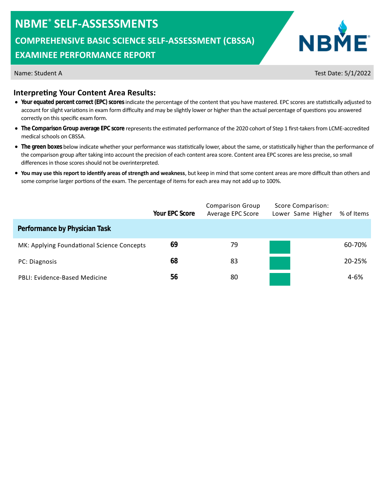**COMPREHENSIVE BASIC SCIENCE SELF-ASSESSMENT (CBSSA)**

### **EXAMINEE PERFORMANCE REPORT**



Name: Student A Test Date: 5/1/2022

#### **Interpreting Your Content Area Results:**

- Your equated percent correct (EPC) scores indicate the percentage of the content that you have mastered. EPC scores are statistically adjusted to account for slight variations in exam form difficulty and may be slightly lower or higher than the actual percentage of questions you answered correctly on this specific exam form.
- The Comparison Group average EPC score represents the estimated performance of the 2020 cohort of Step 1 first-takers from LCME-accredited medical schools on CBSSA.
- The green boxes below indicate whether your performance was statistically lower, about the same, or statistically higher than the performance of the comparison group after taking into account the precision of each content area score. Content area EPC scores are less precise, so small differences in those scores should not be overinterpreted.
- **You may use this report to identify areas of strength and weakness**, but keep in mind that some content areas are more difficult than others and some comprise larger portions of the exam. The percentage of items for each area may not add up to 100%.

|                                            | Your EPC Score | <b>Comparison Group</b><br>Average EPC Score | Score Comparison:<br>Lower Same Higher | % of Items |
|--------------------------------------------|----------------|----------------------------------------------|----------------------------------------|------------|
| Performance by Physician Task              |                |                                              |                                        |            |
| MK: Applying Foundational Science Concepts | 69             | 79                                           |                                        | 60-70%     |
| PC: Diagnosis                              | 68             | 83                                           |                                        | 20-25%     |
| PBLI: Evidence-Based Medicine              | 56             | 80                                           |                                        | $4 - 6%$   |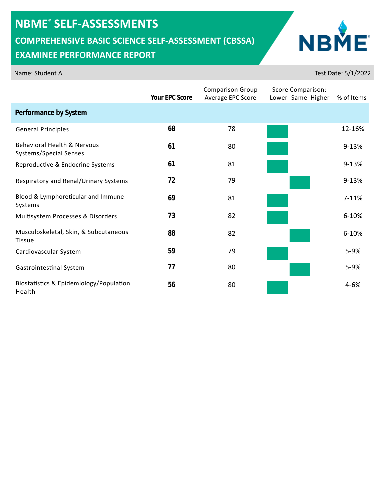**COMPREHENSIVE BASIC SCIENCE SELF-ASSESSMENT (CBSSA)**

## **EXAMINEE PERFORMANCE REPORT**

|                                                                  | Your EPC Score | <b>Comparison Group</b><br>Average EPC Score | Score Comparison:<br>Lower Same Higher | % of Items |
|------------------------------------------------------------------|----------------|----------------------------------------------|----------------------------------------|------------|
| Performance by System                                            |                |                                              |                                        |            |
| <b>General Principles</b>                                        | 68             | 78                                           |                                        | 12-16%     |
| <b>Behavioral Health &amp; Nervous</b><br>Systems/Special Senses | 61             | 80                                           |                                        | $9 - 13%$  |
| Reproductive & Endocrine Systems                                 | 61             | 81                                           |                                        | $9 - 13%$  |
| Respiratory and Renal/Urinary Systems                            | 72             | 79                                           |                                        | $9 - 13%$  |
| Blood & Lymphoreticular and Immune<br>Systems                    | 69             | 81                                           |                                        | 7-11%      |
| Multisystem Processes & Disorders                                | 73             | 82                                           |                                        | $6 - 10%$  |
| Musculoskeletal, Skin, & Subcutaneous<br><b>Tissue</b>           | 88             | 82                                           |                                        | $6 - 10%$  |
| Cardiovascular System                                            | 59             | 79                                           |                                        | 5-9%       |
| Gastrointestinal System                                          | 77             | 80                                           |                                        | 5-9%       |
| Biostatistics & Epidemiology/Population<br>Health                | 56             | 80                                           |                                        | $4 - 6%$   |

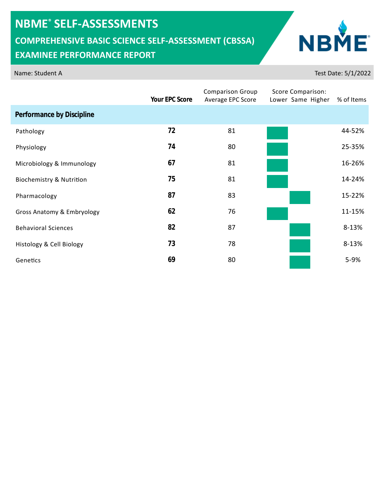**COMPREHENSIVE BASIC SCIENCE SELF-ASSESSMENT (CBSSA)**

## **EXAMINEE PERFORMANCE REPORT**

|                                     | Your EPC Score | <b>Comparison Group</b><br>Average EPC Score | Score Comparison:<br>Lower Same Higher | % of Items |
|-------------------------------------|----------------|----------------------------------------------|----------------------------------------|------------|
| Performance by Discipline           |                |                                              |                                        |            |
| Pathology                           | 72             | 81                                           |                                        | 44-52%     |
| Physiology                          | 74             | 80                                           |                                        | 25-35%     |
| Microbiology & Immunology           | 67             | 81                                           |                                        | 16-26%     |
| <b>Biochemistry &amp; Nutrition</b> | 75             | 81                                           |                                        | 14-24%     |
| Pharmacology                        | 87             | 83                                           |                                        | 15-22%     |
| Gross Anatomy & Embryology          | 62             | 76                                           |                                        | 11-15%     |
| <b>Behavioral Sciences</b>          | 82             | 87                                           |                                        | 8-13%      |
| Histology & Cell Biology            | 73             | 78                                           |                                        | 8-13%      |
| Genetics                            | 69             | 80                                           |                                        | 5-9%       |

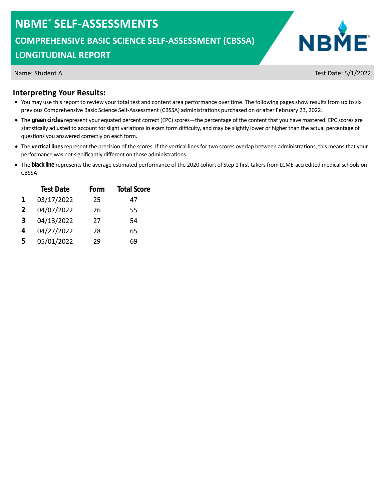**COMPREHENSIVE BASIC SCIENCE SELF-ASSESSMENT (CBSSA)**

#### **LONGITUDINAL REPORT**



Name: Student A Test Date: 5/1/2022

#### **Interpreting Your Results:**

- You may use this report to review your total test and content area performance over time. The following pages show results from up to six previous Comprehensive Basic Science Self-Assessment (CBSSA) administrations purchased on or after February 23, 2022.
- The **green circles**represent your equated percent correct (EPC) scores—the percentage of the content that you have mastered. EPC scores are statistically adjusted to account for slight variations in exam form difficulty, and may be slightly lower or higher than the actual percentage of questions you answered correctly on each form.
- The **vertical lines** represent the precision of the scores. If the vertical lines for two scores overlap between administrations, this means that your performance was not significantly different on those administrations.
- The black line represents the average estimated performance of the 2020 cohort of Step 1 first-takers from LCME-accredited medical schools on . CBSSA

| <b>Total Score</b> |
|--------------------|
| 47                 |
| 55                 |
| 54                 |
| 65                 |
| 69                 |
|                    |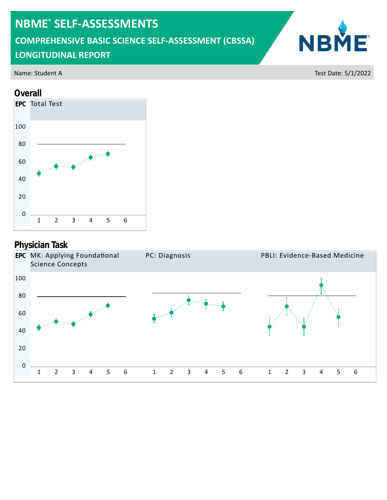**COMPREHENSIVE BASIC SCIENCE SELF-ASSESSMENT (CBSSA)**

## **LONGITUDINAL REPORT**

#### **Overall**



## **Physician Task**



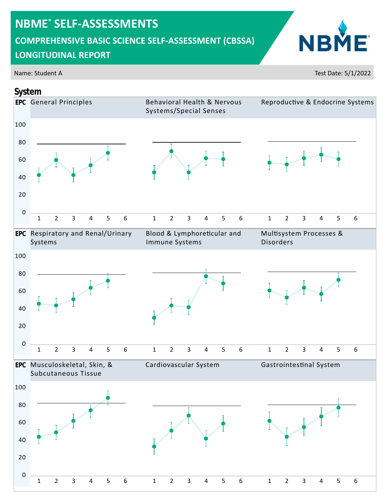**COMPREHENSIVE BASIC SCIENCE SELF-ASSESSMENT (CBSSA)**

## **LONGITUDINAL REPORT**

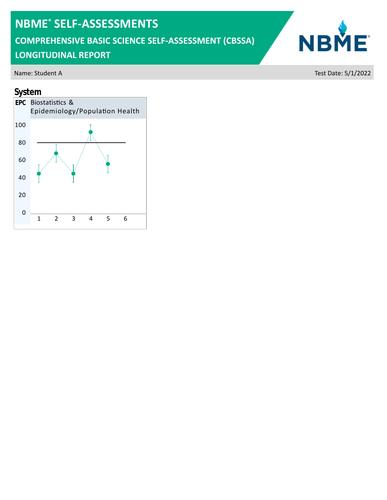**COMPREHENSIVE BASIC SCIENCE SELF-ASSESSMENT (CBSSA)**

## **LONGITUDINAL REPORT**

#### **System**